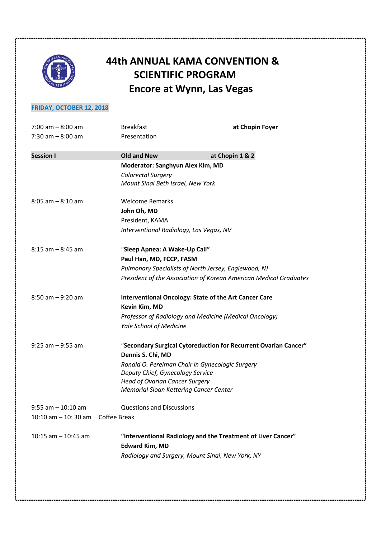

# **44th ANNUAL KAMA CONVENTION & SCIENTIFIC PROGRAM Encore at Wynn, Las Vegas**

# **FRIDAY, OCTOBER 12, 2018**

| $7:00$ am $-8:00$ am                                  | <b>Breakfast</b>                              | at Chopin Foyer                                                   |  |
|-------------------------------------------------------|-----------------------------------------------|-------------------------------------------------------------------|--|
| $7:30$ am $-8:00$ am                                  | Presentation                                  |                                                                   |  |
|                                                       |                                               |                                                                   |  |
| <b>Session I</b>                                      | <b>Old and New</b>                            | at Chopin 1 & 2                                                   |  |
|                                                       | Moderator: Sanghyun Alex Kim, MD              |                                                                   |  |
|                                                       | Colorectal Surgery                            |                                                                   |  |
|                                                       | Mount Sinai Beth Israel, New York             |                                                                   |  |
| $8:05$ am $-8:10$ am                                  | <b>Welcome Remarks</b>                        |                                                                   |  |
|                                                       | John Oh, MD                                   |                                                                   |  |
|                                                       | President, KAMA                               |                                                                   |  |
|                                                       | Interventional Radiology, Las Vegas, NV       |                                                                   |  |
| $8:15$ am $-8:45$ am<br>"Sleep Apnea: A Wake-Up Call" |                                               |                                                                   |  |
|                                                       | Paul Han, MD, FCCP, FASM                      |                                                                   |  |
|                                                       |                                               | Pulmonary Specialists of North Jersey, Englewood, NJ              |  |
|                                                       |                                               | President of the Association of Korean American Medical Graduates |  |
| $8:50$ am $-9:20$ am                                  |                                               | <b>Interventional Oncology: State of the Art Cancer Care</b>      |  |
|                                                       | Kevin Kim, MD                                 |                                                                   |  |
|                                                       |                                               | Professor of Radiology and Medicine (Medical Oncology)            |  |
|                                                       | <b>Yale School of Medicine</b>                |                                                                   |  |
| $9:25$ am $-9:55$ am                                  |                                               | "Secondary Surgical Cytoreduction for Recurrent Ovarian Cancer"   |  |
|                                                       | Dennis S. Chi, MD                             |                                                                   |  |
|                                                       |                                               | Ronald O. Perelman Chair in Gynecologic Surgery                   |  |
|                                                       | Deputy Chief, Gynecology Service              |                                                                   |  |
|                                                       | <b>Head of Ovarian Cancer Surgery</b>         |                                                                   |  |
|                                                       | <b>Memorial Sloan Kettering Cancer Center</b> |                                                                   |  |
| $9:55$ am $-10:10$ am                                 | <b>Questions and Discussions</b>              |                                                                   |  |
| $10:10$ am $-10:30$ am                                | Coffee Break                                  |                                                                   |  |
| 10:15 am $-$ 10:45 am                                 |                                               | "Interventional Radiology and the Treatment of Liver Cancer"      |  |
|                                                       | <b>Edward Kim, MD</b>                         |                                                                   |  |
|                                                       |                                               | Radiology and Surgery, Mount Sinai, New York, NY                  |  |
|                                                       |                                               |                                                                   |  |
|                                                       |                                               |                                                                   |  |
|                                                       |                                               |                                                                   |  |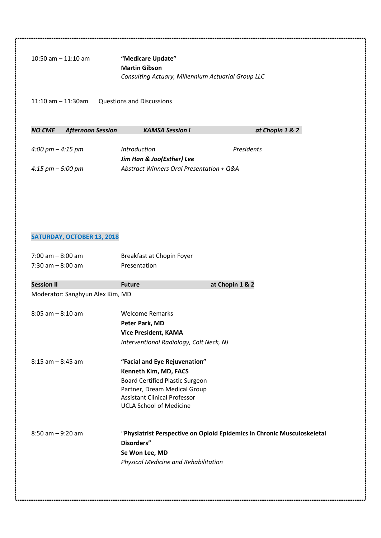| $10:50$ am $-11:10$ am | "Medicare Update"                                                          |
|------------------------|----------------------------------------------------------------------------|
|                        | <b>Martin Gibson</b><br>Consulting Actuary, Millennium Actuarial Group LLC |

11:10 am – 11:30am Questions and Discussions

| NO CME            | <b>Afternoon Session</b> | <b>KAMSA Session I</b>                   | at Chopin 1 & 2 |
|-------------------|--------------------------|------------------------------------------|-----------------|
|                   |                          |                                          |                 |
| 4:00 pm – 4:15 pm |                          | <i>Introduction</i>                      | Presidents      |
|                   |                          | Jim Han & Joo(Esther) Lee                |                 |
| 4:15 pm – 5:00 pm |                          | Abstract Winners Oral Presentation + Q&A |                 |

# **SATURDAY, OCTOBER 13, 2018**

| $7:00$ am $-8:00$ am<br>$7:30$ am $-8:00$ am | Breakfast at Chopin Foyer<br>Presentation |                                                                         |  |
|----------------------------------------------|-------------------------------------------|-------------------------------------------------------------------------|--|
| <b>Session II</b>                            | <b>Future</b>                             | at Chopin 1 & 2                                                         |  |
| Moderator: Sanghyun Alex Kim, MD             |                                           |                                                                         |  |
| $8:05$ am $-8:10$ am                         | <b>Welcome Remarks</b>                    |                                                                         |  |
|                                              | Peter Park, MD                            |                                                                         |  |
|                                              | <b>Vice President, KAMA</b>               |                                                                         |  |
|                                              | Interventional Radiology, Colt Neck, NJ   |                                                                         |  |
| $8:15$ am $-8:45$ am                         | "Facial and Eye Rejuvenation"             |                                                                         |  |
|                                              | Kenneth Kim, MD, FACS                     |                                                                         |  |
|                                              | <b>Board Certified Plastic Surgeon</b>    |                                                                         |  |
|                                              | Partner, Dream Medical Group              |                                                                         |  |
|                                              | <b>Assistant Clinical Professor</b>       |                                                                         |  |
|                                              | <b>UCLA School of Medicine</b>            |                                                                         |  |
| $8:50$ am $-9:20$ am                         |                                           | "Physiatrist Perspective on Opioid Epidemics in Chronic Musculoskeletal |  |
|                                              | Disorders"                                |                                                                         |  |
|                                              | Se Won Lee, MD                            |                                                                         |  |
|                                              | Physical Medicine and Rehabilitation      |                                                                         |  |
|                                              |                                           |                                                                         |  |
|                                              |                                           |                                                                         |  |
|                                              |                                           |                                                                         |  |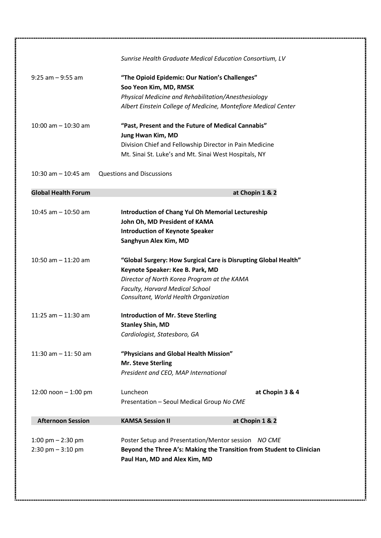|                                     | Sunrise Health Graduate Medical Education Consortium, LV              |  |
|-------------------------------------|-----------------------------------------------------------------------|--|
| $9:25$ am $-9:55$ am                | "The Opioid Epidemic: Our Nation's Challenges"                        |  |
|                                     | Soo Yeon Kim, MD, RMSK                                                |  |
|                                     | Physical Medicine and Rehabilitation/Anesthesiology                   |  |
|                                     | Albert Einstein College of Medicine, Montefiore Medical Center        |  |
| 10:00 am $-$ 10:30 am               | "Past, Present and the Future of Medical Cannabis"                    |  |
|                                     | Jung Hwan Kim, MD                                                     |  |
|                                     | Division Chief and Fellowship Director in Pain Medicine               |  |
|                                     | Mt. Sinai St. Luke's and Mt. Sinai West Hospitals, NY                 |  |
| 10:30 am $-$ 10:45 am               | <b>Questions and Discussions</b>                                      |  |
| <b>Global Health Forum</b>          | at Chopin 1 & 2                                                       |  |
| 10:45 am $-$ 10:50 am               | <b>Introduction of Chang Yul Oh Memorial Lectureship</b>              |  |
|                                     | John Oh, MD President of KAMA                                         |  |
|                                     | <b>Introduction of Keynote Speaker</b>                                |  |
|                                     | Sanghyun Alex Kim, MD                                                 |  |
| 10:50 am $-$ 11:20 am               | "Global Surgery: How Surgical Care is Disrupting Global Health"       |  |
|                                     | Keynote Speaker: Kee B. Park, MD                                      |  |
|                                     | Director of North Korea Program at the KAMA                           |  |
|                                     | <b>Faculty, Harvard Medical School</b>                                |  |
|                                     | Consultant, World Health Organization                                 |  |
| 11:25 am $-$ 11:30 am               | <b>Introduction of Mr. Steve Sterling</b>                             |  |
|                                     | <b>Stanley Shin, MD</b>                                               |  |
|                                     | Cardiologist, Statesboro, GA                                          |  |
| 11:30 am $-$ 11:50 am               | "Physicians and Global Health Mission"                                |  |
|                                     | Mr. Steve Sterling                                                    |  |
|                                     | President and CEO, MAP International                                  |  |
| 12:00 noon $- 1:00$ pm              | Luncheon<br>at Chopin 3 & 4                                           |  |
|                                     | Presentation - Seoul Medical Group No CME                             |  |
| <b>Afternoon Session</b>            | <b>KAMSA Session II</b><br>at Chopin 1 & 2                            |  |
| 1:00 pm $-$ 2:30 pm                 | Poster Setup and Presentation/Mentor session NO CME                   |  |
|                                     | Beyond the Three A's: Making the Transition from Student to Clinician |  |
| $2:30 \text{ pm} - 3:10 \text{ pm}$ | Paul Han, MD and Alex Kim, MD                                         |  |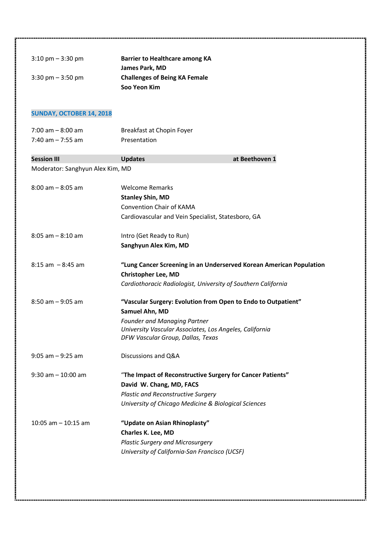| $3:10 \text{ pm} - 3:30 \text{ pm}$ | <b>Barrier to Healthcare among KA</b>                               |
|-------------------------------------|---------------------------------------------------------------------|
|                                     | James Park, MD                                                      |
| $3:30$ pm $-3:50$ pm                | <b>Challenges of Being KA Female</b>                                |
|                                     | Soo Yeon Kim                                                        |
|                                     |                                                                     |
| <b>SUNDAY, OCTOBER 14, 2018</b>     |                                                                     |
| $7:00$ am $-8:00$ am                | Breakfast at Chopin Foyer                                           |
| 7:40 am $-$ 7:55 am                 | Presentation                                                        |
|                                     |                                                                     |
| <b>Session III</b>                  | at Beethoven 1<br><b>Updates</b>                                    |
| Moderator: Sanghyun Alex Kim, MD    |                                                                     |
| $8:00$ am $-8:05$ am                | <b>Welcome Remarks</b>                                              |
|                                     | <b>Stanley Shin, MD</b>                                             |
|                                     | <b>Convention Chair of KAMA</b>                                     |
|                                     | Cardiovascular and Vein Specialist, Statesboro, GA                  |
|                                     |                                                                     |
| $8:05$ am $-8:10$ am                | Intro (Get Ready to Run)                                            |
|                                     | Sanghyun Alex Kim, MD                                               |
|                                     |                                                                     |
| $8:15$ am $-8:45$ am                | "Lung Cancer Screening in an Underserved Korean American Population |
|                                     | <b>Christopher Lee, MD</b>                                          |
|                                     | Cardiothoracic Radiologist, University of Southern California       |
| $8:50$ am $-9:05$ am                | "Vascular Surgery: Evolution from Open to Endo to Outpatient"       |
|                                     | Samuel Ahn, MD                                                      |
|                                     | <b>Founder and Managing Partner</b>                                 |
|                                     | University Vascular Associates, Los Angeles, California             |
|                                     | DFW Vascular Group, Dallas, Texas                                   |
| $9:05$ am $-9:25$ am                | Discussions and Q&A                                                 |
|                                     |                                                                     |
| $9:30$ am $-10:00$ am               | "The Impact of Reconstructive Surgery for Cancer Patients"          |
|                                     | David W. Chang, MD, FACS                                            |
|                                     | <b>Plastic and Reconstructive Surgery</b>                           |
|                                     | University of Chicago Medicine & Biological Sciences                |
| 10:05 am $-$ 10:15 am               | "Update on Asian Rhinoplasty"                                       |
|                                     | <b>Charles K. Lee, MD</b>                                           |
|                                     | <b>Plastic Surgery and Microsurgery</b>                             |
|                                     | University of California-San Francisco (UCSF)                       |
|                                     |                                                                     |
|                                     |                                                                     |
|                                     |                                                                     |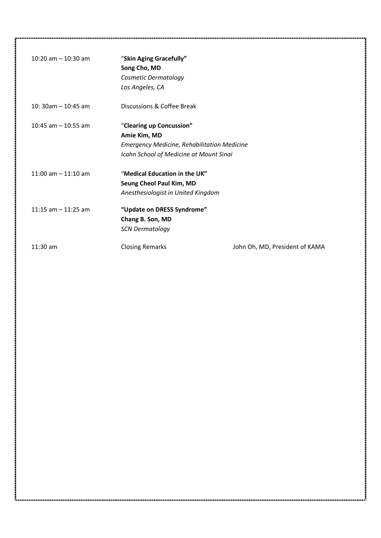| 10:20 am $-$ 10:30 am | "Skin Aging Gracefully"<br>Song Cho, MD<br>Cosmetic Dermatology<br>Los Angeles, CA                                                        |                                |
|-----------------------|-------------------------------------------------------------------------------------------------------------------------------------------|--------------------------------|
| 10: 30am $-$ 10:45 am | Discussions & Coffee Break                                                                                                                |                                |
| 10:45 am $-$ 10:55 am | "Clearing up Concussion"<br>Amie Kim, MD<br><b>Emergency Medicine, Rehabilitation Medicine</b><br>Icahn School of Medicine at Mount Sinai |                                |
| 11:00 am $-$ 11:10 am | "Medical Education in the UK"<br>Seung Cheol Paul Kim, MD<br>Anesthesiologist in United Kingdom                                           |                                |
| 11:15 am $-$ 11:25 am | "Update on DRESS Syndrome"<br>Chang B. Son, MD<br><b>SCN Dermatology</b>                                                                  |                                |
| $11:30$ am            | <b>Closing Remarks</b>                                                                                                                    | John Oh, MD, President of KAMA |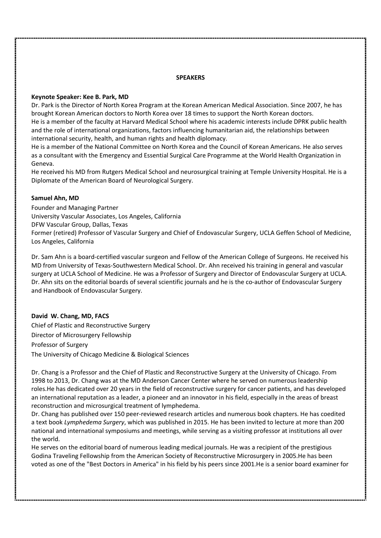#### **SPEAKERS**

#### **Keynote Speaker: Kee B. Park, MD**

Dr. Park is the Director of North Korea Program at the Korean American Medical Association. Since 2007, he has brought Korean American doctors to North Korea over 18 times to support the North Korean doctors. He is a member of the faculty at Harvard Medical School where his academic interests include DPRK public health and the role of international organizations, factors influencing humanitarian aid, the relationships between international security, health, and human rights and health diplomacy.

He is a member of the National Committee on North Korea and the Council of Korean Americans. He also serves as a consultant with the Emergency and Essential Surgical Care Programme at the World Health Organization in Geneva.

He received his MD from Rutgers Medical School and neurosurgical training at Temple University Hospital. He is a Diplomate of the American Board of Neurological Surgery.

#### **Samuel Ahn, MD**

Founder and Managing Partner University Vascular Associates, Los Angeles, California DFW Vascular Group, Dallas, Texas Former (retired) Professor of Vascular Surgery and Chief of Endovascular Surgery, UCLA Geffen School of Medicine, Los Angeles, California

Dr. Sam Ahn is a board-certified vascular surgeon and Fellow of the American College of Surgeons. He received his MD from University of Texas-Southwestern Medical School. Dr. Ahn received his training in general and vascular surgery at UCLA School of Medicine. He was a Professor of Surgery and Director of Endovascular Surgery at UCLA. Dr. Ahn sits on the editorial boards of several scientific journals and he is the co-author of Endovascular Surgery and Handbook of Endovascular Surgery.

**David W. Chang, MD, FACS** Chief of Plastic and Reconstructive Surgery Director of Microsurgery Fellowship Professor of Surgery

The University of Chicago Medicine & Biological Sciences

Dr. Chang is a Professor and the Chief of Plastic and Reconstructive Surgery at the University of Chicago. From 1998 to 2013, Dr. Chang was at the MD Anderson Cancer Center where he served on numerous leadership roles.He has dedicated over 20 years in the field of reconstructive surgery for cancer patients, and has developed an international reputation as a leader, a pioneer and an innovator in his field, especially in the areas of breast reconstruction and microsurgical treatment of lymphedema.

Dr. Chang has published over 150 peer-reviewed research articles and numerous book chapters. He has coedited a text book *Lymphedema Surgery*, which was published in 2015. He has been invited to lecture at more than 200 national and international symposiums and meetings, while serving as a visiting professor at institutions all over the world.

He serves on the editorial board of numerous leading medical journals. He was a recipient of the prestigious Godina Traveling Fellowship from the American Society of Reconstructive Microsurgery in 2005.He has been voted as one of the "Best Doctors in America" in his field by his peers since 2001.He is a senior board examiner for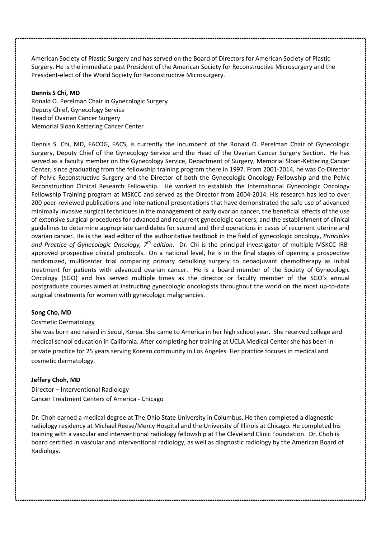American Society of Plastic Surgery and has served on the Board of Directors for American Society of Plastic Surgery. He is the immediate past President of the American Society for Reconstructive Microsurgery and the President-elect of the World Society for Reconstructive Microsurgery.

#### **Dennis S Chi, MD**

Ronald O. Perelman Chair in Gynecologic Surgery Deputy Chief, Gynecology Service Head of Ovarian Cancer Surgery Memorial Sloan Kettering Cancer Center

Dennis S. Chi, MD, FACOG, FACS, is currently the incumbent of the Ronald O. Perelman Chair of Gynecologic Surgery, Deputy Chief of the Gynecology Service and the Head of the Ovarian Cancer Surgery Section. He has served as a faculty member on the Gynecology Service, Department of Surgery, Memorial Sloan-Kettering Cancer Center, since graduating from the fellowship training program there in 1997. From 2001-2014, he was Co-Director of Pelvic Reconstructive Surgery and the Director of both the Gynecologic Oncology Fellowship and the Pelvic Reconstruction Clinical Research Fellowship. He worked to establish the International Gynecologic Oncology Fellowship Training program at MSKCC and served as the Director from 2004-2014. His research has led to over 200 peer-reviewed publications and international presentations that have demonstrated the safe use of advanced minimally invasive surgical techniques in the management of early ovarian cancer, the beneficial effects of the use of extensive surgical procedures for advanced and recurrent gynecologic cancers, and the establishment of clinical guidelines to determine appropriate candidates for second and third operations in cases of recurrent uterine and ovarian cancer. He is the lead editor of the authoritative textbook in the field of gynecologic oncology, *Principles and Practice of Gynecologic Oncology, 7th edition*. Dr. Chi is the principal investigator of multiple MSKCC IRB approved prospective clinical protocols. On a national level, he is in the final stages of opening a prospective randomized, multicenter trial comparing primary debulking surgery to neoadjuvant chemotherapy as initial treatment for patients with advanced ovarian cancer. He is a board member of the Society of Gynecologic Oncology (SGO) and has served multiple times as the director or faculty member of the SGO's annual postgraduate courses aimed at instructing gynecologic oncologists throughout the world on the most up-to-date surgical treatments for women with gynecologic malignancies.

# **Song Cho, MD**

# Cosmetic Dermatology

She was born and raised in Seoul, Korea. She came to America in her high school year. She received college and medical school education in California. After completing her training at UCLA Medical Center she has been in private practice for 25 years serving Korean community in Los Angeles. Her practice focuses in medical and cosmetic dermatology.

# **Jeffery Choh, MD**

Director – Interventional Radiology Cancer Treatment Centers of America - Chicago

Dr. Choh earned a medical degree at The Ohio State University in Columbus. He then completed a diagnostic radiology residency at Michael Reese/Mercy Hospital and the University of Illinois at Chicago. He completed his training with a vascular and interventional radiology fellowship at The Cleveland Clinic Foundation. Dr. Choh is board certified in vascular and interventional radiology, as well as diagnostic radiology by the American Board of Radiology.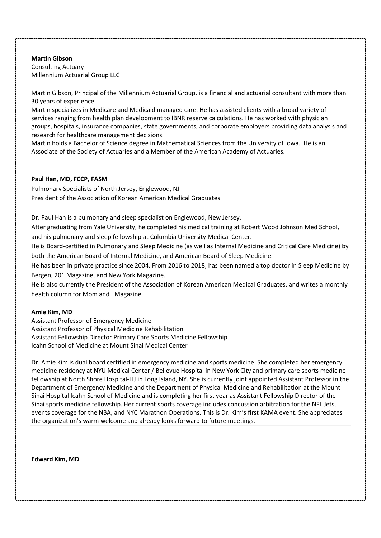# **Martin Gibson**

Consulting Actuary Millennium Actuarial Group LLC

Martin Gibson, Principal of the Millennium Actuarial Group, is a financial and actuarial consultant with more than 30 years of experience.

Martin specializes in Medicare and Medicaid managed care. He has assisted clients with a broad variety of services ranging from health plan development to IBNR reserve calculations. He has worked with physician groups, hospitals, insurance companies, state governments, and corporate employers providing data analysis and research for healthcare management decisions.

Martin holds a Bachelor of Science degree in Mathematical Sciences from the University of Iowa. He is an Associate of the Society of Actuaries and a Member of the American Academy of Actuaries.

# **Paul Han, MD, FCCP, FASM**

Pulmonary Specialists of North Jersey, Englewood, NJ President of the Association of Korean American Medical Graduates

Dr. Paul Han is a pulmonary and sleep specialist on Englewood, New Jersey.

After graduating from Yale University, he completed his medical training at Robert Wood Johnson Med School, and his pulmonary and sleep fellowship at Columbia University Medical Center.

He is Board-certified in Pulmonary and Sleep Medicine (as well as Internal Medicine and Critical Care Medicine) by both the American Board of Internal Medicine, and American Board of Sleep Medicine.

He has been in private practice since 2004. From 2016 to 2018, has been named a top doctor in Sleep Medicine by Bergen, 201 Magazine, and New York Magazine.

He is also currently the President of the Association of Korean American Medical Graduates, and writes a monthly health column for Mom and I Magazine.

# **Amie Kim, MD**

Assistant Professor of Emergency Medicine Assistant Professor of Physical Medicine Rehabilitation Assistant Fellowship Director Primary Care Sports Medicine Fellowship Icahn School of Medicine at Mount Sinai Medical Center

Dr. Amie Kim is dual board certified in emergency medicine and sports medicine. She completed her emergency medicine residency at NYU Medical Center / Bellevue Hospital in New York City and primary care sports medicine fellowship at North Shore Hospital-LIJ in Long Island, NY. She is currently joint appointed Assistant Professor in the Department of Emergency Medicine and the Department of Physical Medicine and Rehabilitation at the Mount Sinai Hospital Icahn School of Medicine and is completing her first year as Assistant Fellowship Director of the Sinai sports medicine fellowship. Her current sports coverage includes concussion arbitration for the NFL Jets, events coverage for the NBA, and NYC Marathon Operations. This is Dr. Kim's first KAMA event. She appreciates the organization's warm welcome and already looks forward to future meetings.

**Edward Kim, MD**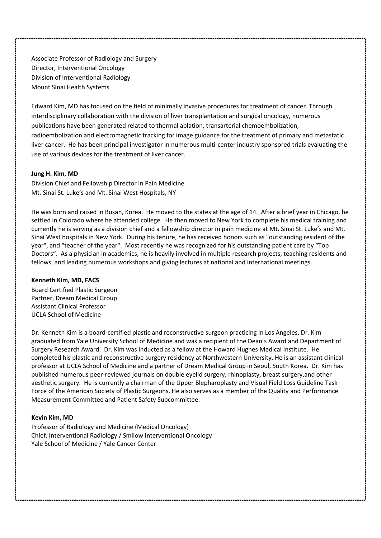Associate Professor of Radiology and Surgery Director, Interventional Oncology Division of Interventional Radiology Mount Sinai Health Systems

Edward Kim, MD has focused on the field of minimally invasive procedures for treatment of cancer. Through interdisciplinary collaboration with the division of liver transplantation and surgical oncology, numerous publications have been generated related to thermal ablation, transarterial chemoembolization, radioembolization and electromagnetic tracking for image guidance for the treatment of primary and metastatic liver cancer. He has been principal investigator in numerous multi-center industry sponsored trials evaluating the use of various devices for the treatment of liver cancer.

#### **Jung H. Kim, MD**

Division Chief and Fellowship Director in Pain Medicine Mt. Sinai St. Luke's and Mt. Sinai West Hospitals, NY

He was born and raised in Busan, Korea. He moved to the states at the age of 14. After a brief year in Chicago, he settled in Colorado where he attended college. He then moved to New York to complete his medical training and currently he is serving as a division chief and a fellowship director in pain medicine at Mt. Sinai St. Luke's and Mt. Sinai West hospitals in New York. During his tenure, he has received honors such as "outstanding resident of the year", and "teacher of the year". Most recently he was recognized for his outstanding patient care by "Top Doctors". As a physician in academics, he is heavily involved in multiple research projects, teaching residents and fellows, and leading numerous workshops and giving lectures at national and international meetings.

#### **Kenneth Kim, MD, FACS**

Board Certified Plastic Surgeon Partner, Dream Medical Group Assistant Clinical Professor UCLA School of Medicine

Dr. Kenneth Kim is a board-certified plastic and reconstructive surgeon practicing in Los Angeles. Dr. Kim graduated from Yale University School of Medicine and was a recipient of the Dean's Award and Department of Surgery Research Award. Dr. Kim was inducted as a fellow at the Howard Hughes Medical Institute. He completed his plastic and reconstructive surgery residency at Northwestern University. He is an assistant clinical professor at UCLA School of Medicine and a partner of Dream Medical Group in Seoul, South Korea. Dr. Kim has published numerous peer-reviewed journals on double eyelid surgery, rhinoplasty, breast surgery,and other aesthetic surgery. He is currently a chairman of the Upper Blepharoplasty and Visual Field Loss Guideline Task Force of the American Society of Plastic Surgeons. He also serves as a member of the Quality and Performance Measurement Committee and Patient Safety Subcommittee.

#### **Kevin Kim, MD**

Professor of Radiology and Medicine (Medical Oncology) Chief, Interventional Radiology / Smilow Interventional Oncology Yale School of Medicine / Yale Cancer Center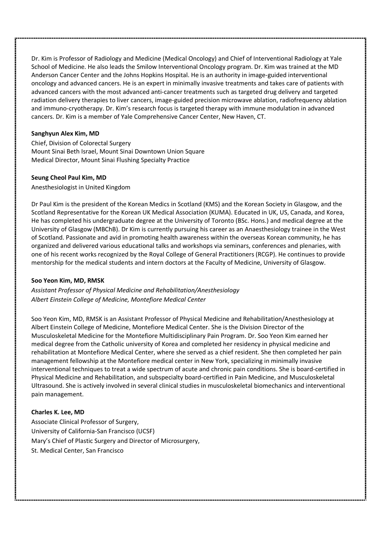Dr. Kim is Professor of Radiology and Medicine (Medical Oncology) and Chief of Interventional Radiology at Yale School of Medicine. He also leads the Smilow Interventional Oncology program. Dr. Kim was trained at the MD Anderson Cancer Center and the Johns Hopkins Hospital. He is an authority in image-guided interventional oncology and advanced cancers. He is an expert in minimally invasive treatments and takes care of patients with advanced cancers with the most advanced anti-cancer treatments such as targeted drug delivery and targeted radiation delivery therapies to liver cancers, image-guided precision microwave ablation, radiofrequency ablation and immuno-cryotherapy. Dr. Kim's research focus is targeted therapy with immune modulation in advanced cancers. Dr. Kim is a member of Yale Comprehensive Cancer Center, New Haven, CT.

# **Sanghyun Alex Kim, MD**

Chief, Division of Colorectal Surgery Mount Sinai Beth Israel, Mount Sinai Downtown Union Square Medical Director, Mount Sinai Flushing Specialty Practice

# **Seung Cheol Paul Kim, MD**

Anesthesiologist in United Kingdom

Dr Paul Kim is the president of the Korean Medics in Scotland (KMS) and the Korean Society in Glasgow, and the Scotland Representative for the Korean UK Medical Association (KUMA). Educated in UK, US, Canada, and Korea, He has completed his undergraduate degree at the University of Toronto (BSc. Hons.) and medical degree at the University of Glasgow (MBChB). Dr Kim is currently pursuing his career as an Anaesthesiology trainee in the West of Scotland. Passionate and avid in promoting health awareness within the overseas Korean community, he has organized and delivered various educational talks and workshops via seminars, conferences and plenaries, with one of his recent works recognized by the Royal College of General Practitioners (RCGP). He continues to provide mentorship for the medical students and intern doctors at the Faculty of Medicine, University of Glasgow.

# **Soo Yeon Kim, MD, RMSK**

*Assistant Professor of Physical Medicine and Rehabilitation/Anesthesiology Albert Einstein College of Medicine, Montefiore Medical Center*

Soo Yeon Kim, MD, RMSK is an Assistant Professor of Physical Medicine and Rehabilitation/Anesthesiology at Albert Einstein College of Medicine, Montefiore Medical Center. She is the Division Director of the Musculoskeletal Medicine for the Montefiore Multidisciplinary Pain Program. Dr. Soo Yeon Kim earned her medical degree from the Catholic university of Korea and completed her residency in physical medicine and rehabilitation at Montefiore Medical Center, where she served as a chief resident. She then completed her pain management fellowship at the Montefiore medical center in New York, specializing in minimally invasive interventional techniques to treat a wide spectrum of acute and chronic pain conditions. She is board-certified in Physical Medicine and Rehabilitation, and subspecialty board-certified in Pain Medicine, and Musculoskeletal Ultrasound. She is actively involved in several clinical studies in musculoskeletal biomechanics and interventional pain management.

# **Charles K. Lee, MD**

Associate Clinical Professor of Surgery, University of California-San Francisco (UCSF) Mary's Chief of Plastic Surgery and Director of Microsurgery, St. Medical Center, San Francisco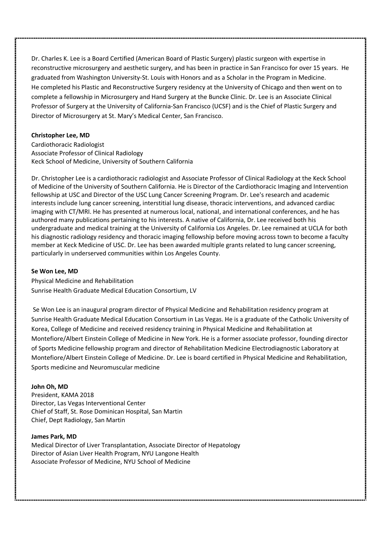Dr. Charles K. Lee is a Board Certified (American Board of Plastic Surgery) plastic surgeon with expertise in reconstructive microsurgery and aesthetic surgery, and has been in practice in San Francisco for over 15 years. He graduated from Washington University-St. Louis with Honors and as a Scholar in the Program in Medicine. He completed his Plastic and Reconstructive Surgery residency at the University of Chicago and then went on to complete a fellowship in Microsurgery and Hand Surgery at the Buncke Clinic. Dr. Lee is an Associate Clinical Professor of Surgery at the University of California-San Francisco (UCSF) and is the Chief of Plastic Surgery and Director of Microsurgery at St. Mary's Medical Center, San Francisco.

#### **Christopher Lee, MD**

Cardiothoracic Radiologist Associate Professor of Clinical Radiology Keck School of Medicine, University of Southern California

Dr. Christopher Lee is a cardiothoracic radiologist and Associate Professor of Clinical Radiology at the Keck School of Medicine of the University of Southern California. He is Director of the Cardiothoracic Imaging and Intervention fellowship at USC and Director of the USC Lung Cancer Screening Program. Dr. Lee's research and academic interests include lung cancer screening, interstitial lung disease, thoracic interventions, and advanced cardiac imaging with CT/MRI. He has presented at numerous local, national, and international conferences, and he has authored many publications pertaining to his interests. A native of California, Dr. Lee received both his undergraduate and medical training at the University of California Los Angeles. Dr. Lee remained at UCLA for both his diagnostic radiology residency and thoracic imaging fellowship before moving across town to become a faculty member at Keck Medicine of USC. Dr. Lee has been awarded multiple grants related to lung cancer screening, particularly in underserved communities within Los Angeles County.

#### **Se Won Lee, MD**

Physical Medicine and Rehabilitation Sunrise Health Graduate Medical Education Consortium, LV

Se Won Lee is an inaugural program director of Physical Medicine and Rehabilitation residency program at Sunrise Health Graduate Medical Education Consortium in Las Vegas. He is a graduate of the Catholic University of Korea, College of Medicine and received residency training in Physical Medicine and Rehabilitation at Montefiore/Albert Einstein College of Medicine in New York. He is a former associate professor, founding director of Sports Medicine fellowship program and director of Rehabilitation Medicine Electrodiagnostic Laboratory at Montefiore/Albert Einstein College of Medicine. Dr. Lee is board certified in Physical Medicine and Rehabilitation, Sports medicine and Neuromuscular medicine

# **John Oh, MD**

President, KAMA 2018 Director, Las Vegas Interventional Center Chief of Staff, St. Rose Dominican Hospital, San Martin Chief, Dept Radiology, San Martin

#### **James Park, MD**

Medical Director of Liver Transplantation, Associate Director of Hepatology Director of Asian Liver Health Program, NYU Langone Health Associate Professor of Medicine, NYU School of Medicine